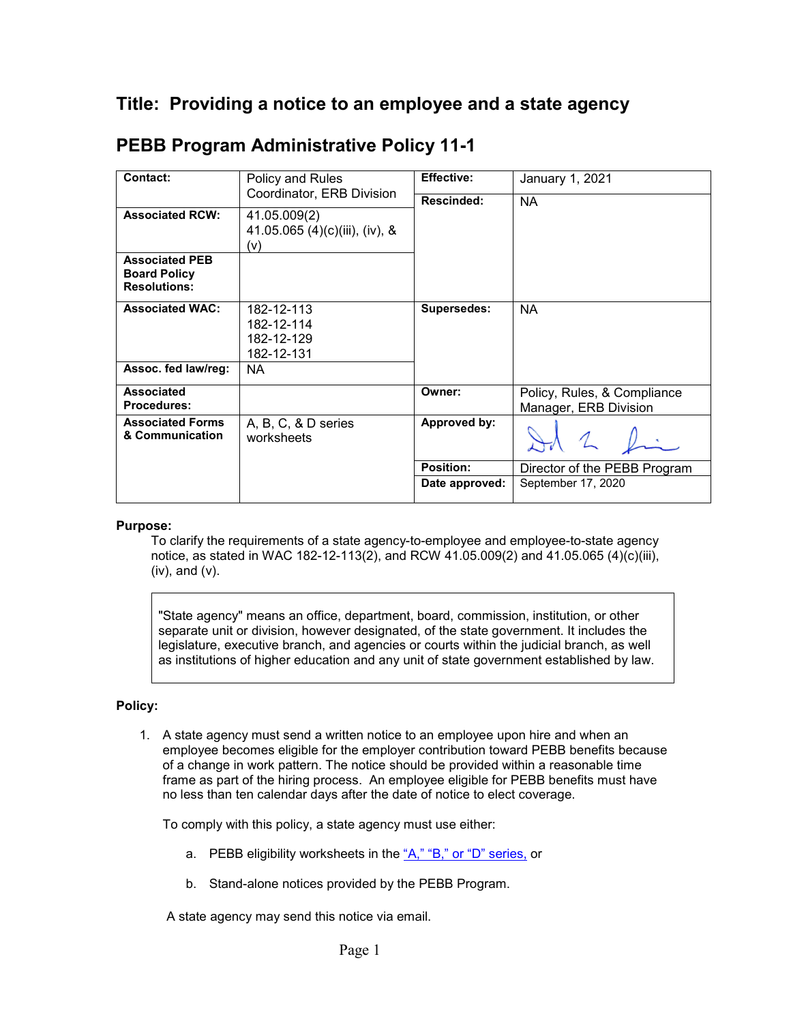## **Title: Providing a notice to an employee and a state agency**

| <b>Contact:</b>                                                     | Policy and Rules<br>Coordinator, ERB Division         | <b>Effective:</b>  | January 1, 2021                                      |
|---------------------------------------------------------------------|-------------------------------------------------------|--------------------|------------------------------------------------------|
|                                                                     |                                                       | Rescinded:         | <b>NA</b>                                            |
| <b>Associated RCW:</b>                                              | 41.05.009(2)<br>41.05.065 (4)(c)(iii), (iv), &<br>(v) |                    |                                                      |
| <b>Associated PEB</b><br><b>Board Policy</b><br><b>Resolutions:</b> |                                                       |                    |                                                      |
| <b>Associated WAC:</b>                                              | 182-12-113<br>182-12-114<br>182-12-129<br>182-12-131  | <b>Supersedes:</b> | <b>NA</b>                                            |
| Assoc. fed law/reg:                                                 | NA.                                                   |                    |                                                      |
| <b>Associated</b><br><b>Procedures:</b>                             |                                                       | Owner:             | Policy, Rules, & Compliance<br>Manager, ERB Division |
| <b>Associated Forms</b><br>& Communication                          | A, B, C, & D series<br>worksheets                     | Approved by:       | $\mathcal{L}$                                        |
|                                                                     |                                                       | <b>Position:</b>   | Director of the PEBB Program                         |
|                                                                     |                                                       | Date approved:     | September 17, 2020                                   |

## **PEBB Program Administrative Policy 11-1**

## **Purpose:**

To clarify the requirements of a state agency-to-employee and employee-to-state agency notice, as stated in WAC 182-12-113(2), and RCW 41.05.009(2) and 41.05.065 (4)(c)(iii), (iv), and (v).

"State agency" means an office, department, board, commission, institution, or other separate unit or division, however designated, of the state government. It includes the legislature, executive branch, and agencies or courts within the judicial branch, as well as institutions of higher education and any unit of state government established by law.

## **Policy:**

1. A state agency must send a written notice to an employee upon hire and when an employee becomes eligible for the employer contribution toward PEBB benefits because of a change in work pattern. The notice should be provided within a reasonable time frame as part of the hiring process. An employee eligible for PEBB benefits must have no less than ten calendar days after the date of notice to elect coverage.

To comply with this policy, a state agency must use either:

- a. PEBB eligibility worksheets in the ["A," "B," or](https://www.hca.wa.gov/perspay/pebb-benefit-eligibility-tools-and-worksheets) "D" series, or
- b. Stand-alone notices provided by the PEBB Program.

A state agency may send this notice via email.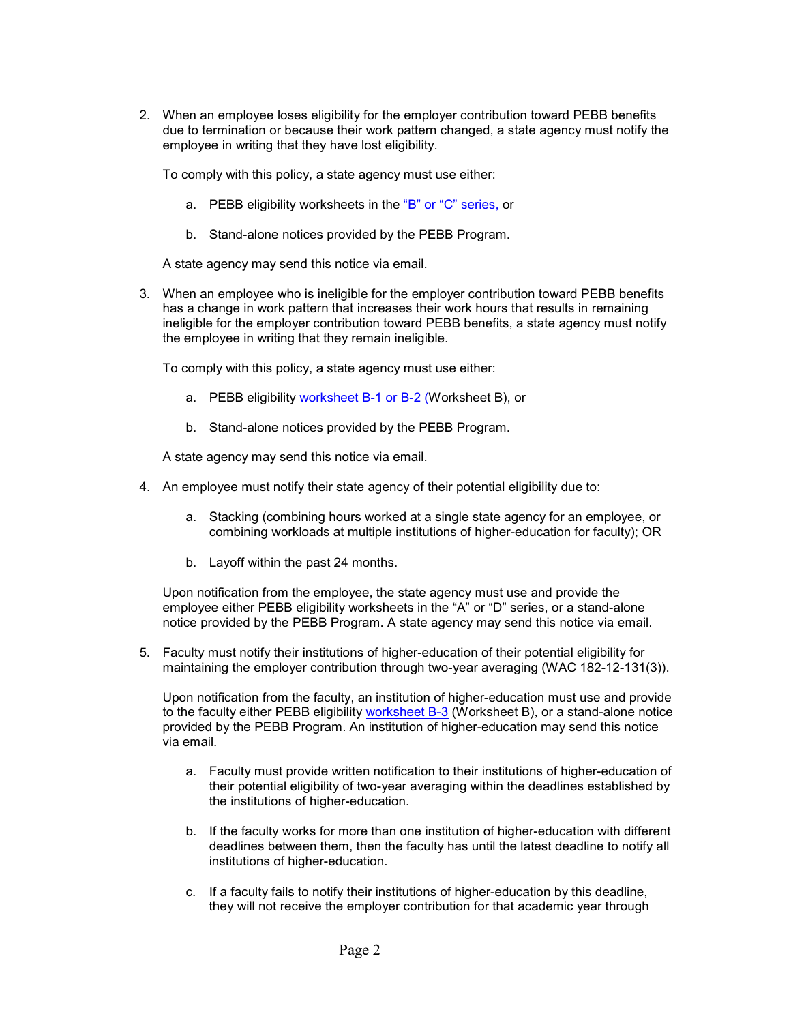2. When an employee loses eligibility for the employer contribution toward PEBB benefits due to termination or because their work pattern changed, a state agency must notify the employee in writing that they have lost eligibility.

To comply with this policy, a state agency must use either:

- a. PEBB eligibility worksheets in the "B" or ["C" series,](https://www.hca.wa.gov/perspay/pebb-benefit-eligibility-tools-and-worksheets) or
- b. Stand-alone notices provided by the PEBB Program.

A state agency may send this notice via email.

3. When an employee who is ineligible for the employer contribution toward PEBB benefits has a change in work pattern that increases their work hours that results in remaining ineligible for the employer contribution toward PEBB benefits, a state agency must notify the employee in writing that they remain ineligible.

To comply with this policy, a state agency must use either:

- a. PEBB eligibility [worksheet](https://www.hca.wa.gov/perspay/pebb-benefit-eligibility-tools-and-worksheets) B-1 or B-2 (Worksheet B), or
- b. Stand-alone notices provided by the PEBB Program.

A state agency may send this notice via email.

- 4. An employee must notify their state agency of their potential eligibility due to:
	- a. Stacking (combining hours worked at a single state agency for an employee, or combining workloads at multiple institutions of higher-education for faculty); OR
	- b. Layoff within the past 24 months.

Upon notification from the employee, the state agency must use and provide the employee either PEBB eligibility worksheets in the "A" or "D" [series,](https://www.hca.wa.gov/perspay/pebb-benefit-eligibility-tools-and-worksheets) or a stand-alone notice provided by the PEBB Program. A state agency may send this notice via email.

5. Faculty must notify their institutions of higher-education of their potential eligibility for maintaining the employer contribution through two-year averaging (WAC 182-12-131(3)).

Upon notification from the faculty, an institution of higher-education must use and provide to the faculty either PEBB eligibility [worksheet B-3](https://www.hca.wa.gov/perspay/pebb-benefit-eligibility-tools-and-worksheets) (Worksheet B), or a stand-alone notice provided by the PEBB Program. An institution of higher-education may send this notice via email.

- a. Faculty must provide written notification to their institutions of higher-education of their potential eligibility of two-year averaging within the deadlines established by the institutions of higher-education.
- b. If the faculty works for more than one institution of higher-education with different deadlines between them, then the faculty has until the latest deadline to notify all institutions of higher-education.
- c. If a faculty fails to notify their institutions of higher-education by this deadline, they will not receive the employer contribution for that academic year through